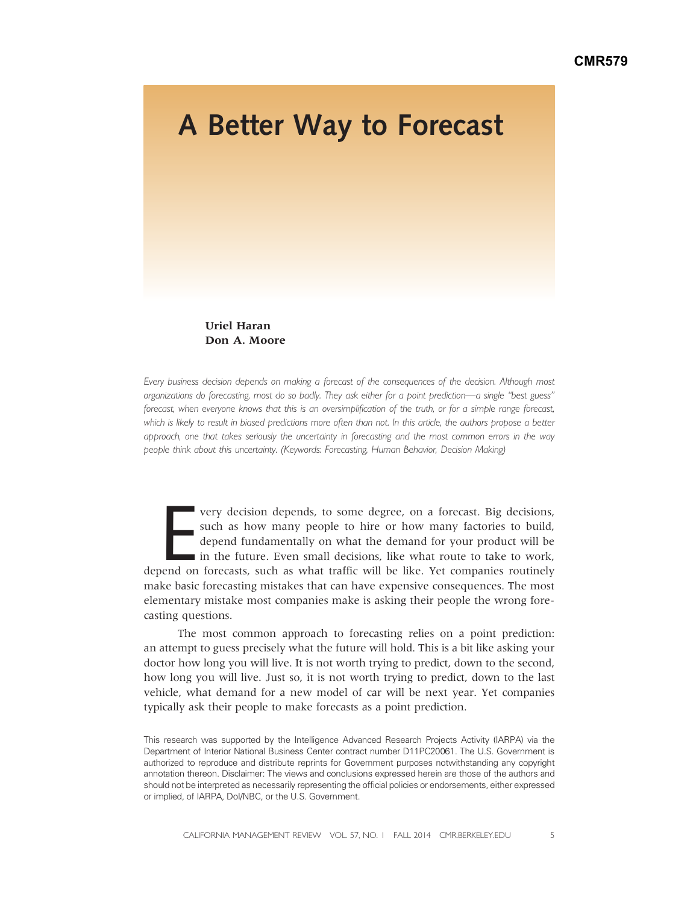Uriel Haran Don A. Moore

Every business decision depends on making a forecast of the consequences of the decision. Although most organizations do forecasting, most do so badly. They ask either for a point prediction—a single "best guess" forecast, when everyone knows that this is an oversimplification of the truth, or for a simple range forecast, which is likely to result in biased predictions more often than not. In this article, the authors propose a better approach, one that takes seriously the uncertainty in forecasting and the most common errors in the way people think about this uncertainty. (Keywords: Forecasting, Human Behavior, Decision Making)

very decision depends, to some degree, on a forecast. Big decisions, such as how many people to hire or how many factories to build, depend fundamentally on what the demand for your product will be in the future. Even smal very decision depends, to some degree, on a forecast. Big decisions, such as how many people to hire or how many factories to build, depend fundamentally on what the demand for your product will be  $\blacksquare$  in the future. Even small decisions, like what route to take to work, make basic forecasting mistakes that can have expensive consequences. The most elementary mistake most companies make is asking their people the wrong forecasting questions.

The most common approach to forecasting relies on a point prediction: an attempt to guess precisely what the future will hold. This is a bit like asking your doctor how long you will live. It is not worth trying to predict, down to the second, how long you will live. Just so, it is not worth trying to predict, down to the last vehicle, what demand for a new model of car will be next year. Yet companies typically ask their people to make forecasts as a point prediction.

This research was supported by the Intelligence Advanced Research Projects Activity (IARPA) via the Department of Interior National Business Center contract number D11PC20061. The U.S. Government is authorized to reproduce and distribute reprints for Government purposes notwithstanding any copyright annotation thereon. Disclaimer: The views and conclusions expressed herein are those of the authors and should not be interpreted as necessarily representing the official policies or endorsements, either expressed or implied, of IARPA, DoI/NBC, or the U.S. Government.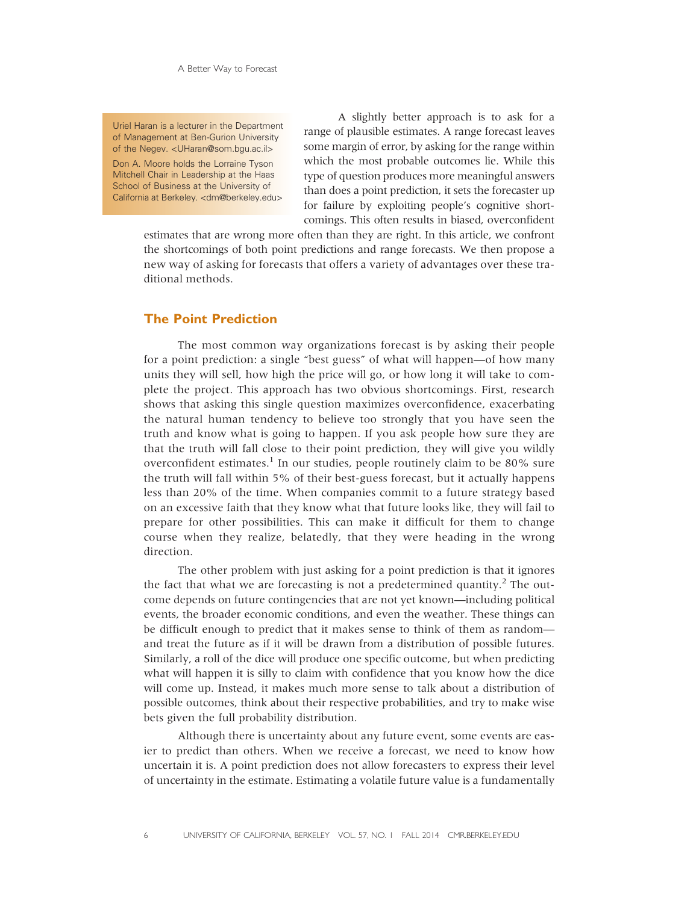Uriel Haran is a lecturer in the Department of Management at Ben-Gurion University of the Negev. < UHaran@som.bgu.ac.il> Don A. Moore holds the Lorraine Tyson Mitchell Chair in Leadership at the Haas School of Business at the University of California at Berkeley. <dm@berkeley.edu>

A slightly better approach is to ask for a range of plausible estimates. A range forecast leaves some margin of error, by asking for the range within which the most probable outcomes lie. While this type of question produces more meaningful answers than does a point prediction, it sets the forecaster up for failure by exploiting people's cognitive shortcomings. This often results in biased, overconfident

estimates that are wrong more often than they are right. In this article, we confront the shortcomings of both point predictions and range forecasts. We then propose a new way of asking for forecasts that offers a variety of advantages over these traditional methods.

## The Point Prediction

The most common way organizations forecast is by asking their people for a point prediction: a single "best guess" of what will happen—of how many units they will sell, how high the price will go, or how long it will take to complete the project. This approach has two obvious shortcomings. First, research shows that asking this single question maximizes overconfidence, exacerbating the natural human tendency to believe too strongly that you have seen the truth and know what is going to happen. If you ask people how sure they are that the truth will fall close to their point prediction, they will give you wildly overconfident estimates.<sup>1</sup> In our studies, people routinely claim to be 80% sure the truth will fall within 5% of their best-guess forecast, but it actually happens less than 20% of the time. When companies commit to a future strategy based on an excessive faith that they know what that future looks like, they will fail to prepare for other possibilities. This can make it difficult for them to change course when they realize, belatedly, that they were heading in the wrong direction.

The other problem with just asking for a point prediction is that it ignores the fact that what we are forecasting is not a predetermined quantity.<sup>2</sup> The outcome depends on future contingencies that are not yet known—including political events, the broader economic conditions, and even the weather. These things can be difficult enough to predict that it makes sense to think of them as random and treat the future as if it will be drawn from a distribution of possible futures. Similarly, a roll of the dice will produce one specific outcome, but when predicting what will happen it is silly to claim with confidence that you know how the dice will come up. Instead, it makes much more sense to talk about a distribution of possible outcomes, think about their respective probabilities, and try to make wise bets given the full probability distribution.

Although there is uncertainty about any future event, some events are easier to predict than others. When we receive a forecast, we need to know how uncertain it is. A point prediction does not allow forecasters to express their level of uncertainty in the estimate. Estimating a volatile future value is a fundamentally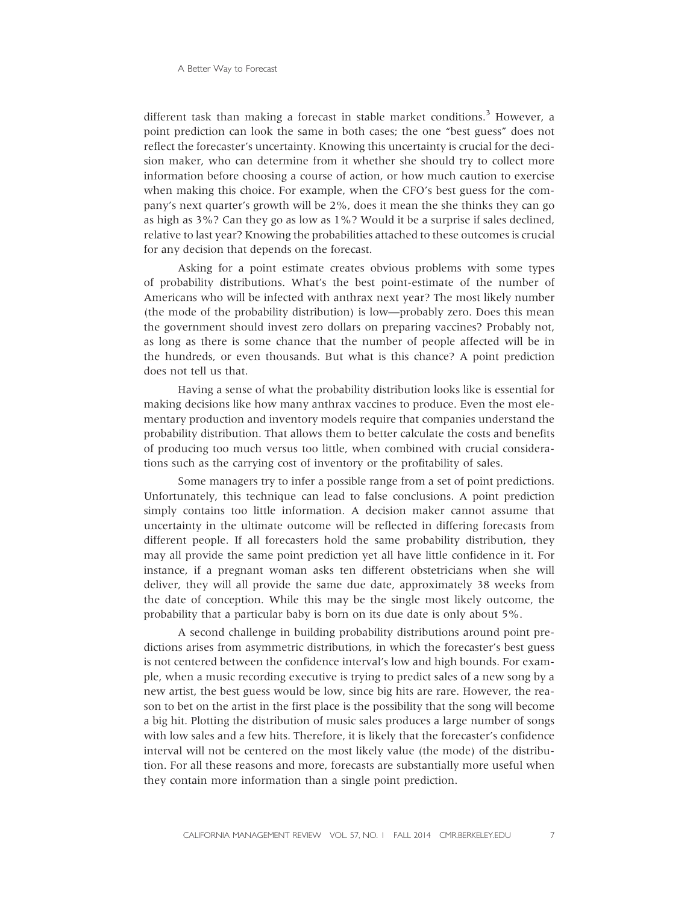different task than making a forecast in stable market conditions.<sup>3</sup> However, a point prediction can look the same in both cases; the one "best guess" does not reflect the forecaster's uncertainty. Knowing this uncertainty is crucial for the decision maker, who can determine from it whether she should try to collect more information before choosing a course of action, or how much caution to exercise when making this choice. For example, when the CFO's best guess for the company's next quarter's growth will be 2%, does it mean the she thinks they can go as high as 3%? Can they go as low as 1%? Would it be a surprise if sales declined, relative to last year? Knowing the probabilities attached to these outcomes is crucial for any decision that depends on the forecast.

Asking for a point estimate creates obvious problems with some types of probability distributions. What's the best point-estimate of the number of Americans who will be infected with anthrax next year? The most likely number (the mode of the probability distribution) is low—probably zero. Does this mean the government should invest zero dollars on preparing vaccines? Probably not, as long as there is some chance that the number of people affected will be in the hundreds, or even thousands. But what is this chance? A point prediction does not tell us that.

Having a sense of what the probability distribution looks like is essential for making decisions like how many anthrax vaccines to produce. Even the most elementary production and inventory models require that companies understand the probability distribution. That allows them to better calculate the costs and benefits of producing too much versus too little, when combined with crucial considerations such as the carrying cost of inventory or the profitability of sales.

Some managers try to infer a possible range from a set of point predictions. Unfortunately, this technique can lead to false conclusions. A point prediction simply contains too little information. A decision maker cannot assume that uncertainty in the ultimate outcome will be reflected in differing forecasts from different people. If all forecasters hold the same probability distribution, they may all provide the same point prediction yet all have little confidence in it. For instance, if a pregnant woman asks ten different obstetricians when she will deliver, they will all provide the same due date, approximately 38 weeks from the date of conception. While this may be the single most likely outcome, the probability that a particular baby is born on its due date is only about 5%.

A second challenge in building probability distributions around point predictions arises from asymmetric distributions, in which the forecaster's best guess is not centered between the confidence interval's low and high bounds. For example, when a music recording executive is trying to predict sales of a new song by a new artist, the best guess would be low, since big hits are rare. However, the reason to bet on the artist in the first place is the possibility that the song will become a big hit. Plotting the distribution of music sales produces a large number of songs with low sales and a few hits. Therefore, it is likely that the forecaster's confidence interval will not be centered on the most likely value (the mode) of the distribution. For all these reasons and more, forecasts are substantially more useful when they contain more information than a single point prediction.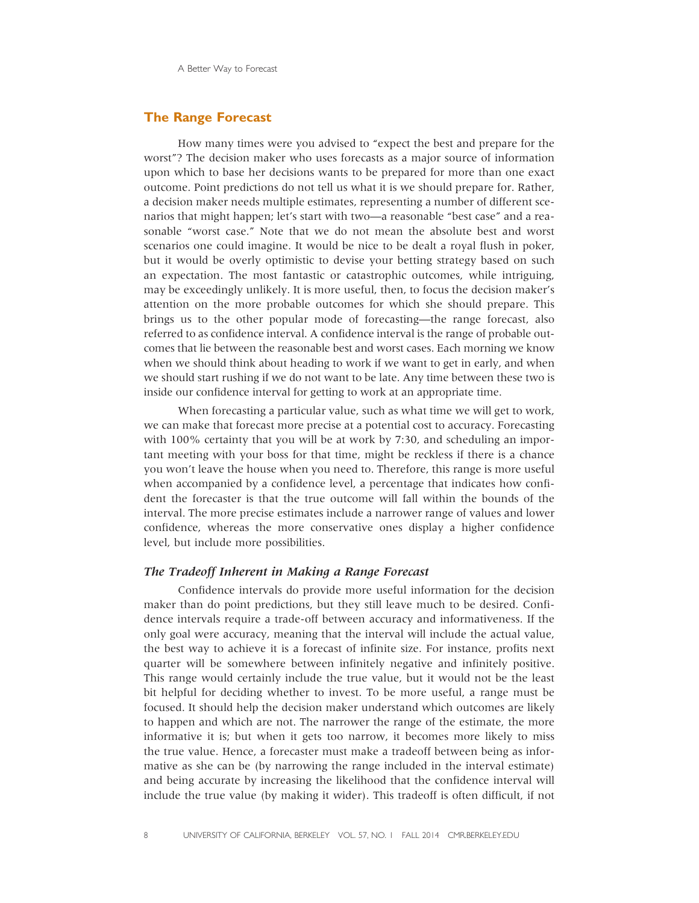#### The Range Forecast

How many times were you advised to "expect the best and prepare for the worst"? The decision maker who uses forecasts as a major source of information upon which to base her decisions wants to be prepared for more than one exact outcome. Point predictions do not tell us what it is we should prepare for. Rather, a decision maker needs multiple estimates, representing a number of different scenarios that might happen; let's start with two—a reasonable "best case" and a reasonable "worst case." Note that we do not mean the absolute best and worst scenarios one could imagine. It would be nice to be dealt a royal flush in poker, but it would be overly optimistic to devise your betting strategy based on such an expectation. The most fantastic or catastrophic outcomes, while intriguing, may be exceedingly unlikely. It is more useful, then, to focus the decision maker's attention on the more probable outcomes for which she should prepare. This brings us to the other popular mode of forecasting—the range forecast, also referred to as confidence interval. A confidence interval is the range of probable outcomes that lie between the reasonable best and worst cases. Each morning we know when we should think about heading to work if we want to get in early, and when we should start rushing if we do not want to be late. Any time between these two is inside our confidence interval for getting to work at an appropriate time.

When forecasting a particular value, such as what time we will get to work, we can make that forecast more precise at a potential cost to accuracy. Forecasting with 100% certainty that you will be at work by 7:30, and scheduling an important meeting with your boss for that time, might be reckless if there is a chance you won't leave the house when you need to. Therefore, this range is more useful when accompanied by a confidence level, a percentage that indicates how confident the forecaster is that the true outcome will fall within the bounds of the interval. The more precise estimates include a narrower range of values and lower confidence, whereas the more conservative ones display a higher confidence level, but include more possibilities.

### The Tradeoff Inherent in Making a Range Forecast

Confidence intervals do provide more useful information for the decision maker than do point predictions, but they still leave much to be desired. Confidence intervals require a trade-off between accuracy and informativeness. If the only goal were accuracy, meaning that the interval will include the actual value, the best way to achieve it is a forecast of infinite size. For instance, profits next quarter will be somewhere between infinitely negative and infinitely positive. This range would certainly include the true value, but it would not be the least bit helpful for deciding whether to invest. To be more useful, a range must be focused. It should help the decision maker understand which outcomes are likely to happen and which are not. The narrower the range of the estimate, the more informative it is; but when it gets too narrow, it becomes more likely to miss the true value. Hence, a forecaster must make a tradeoff between being as informative as she can be (by narrowing the range included in the interval estimate) and being accurate by increasing the likelihood that the confidence interval will include the true value (by making it wider). This tradeoff is often difficult, if not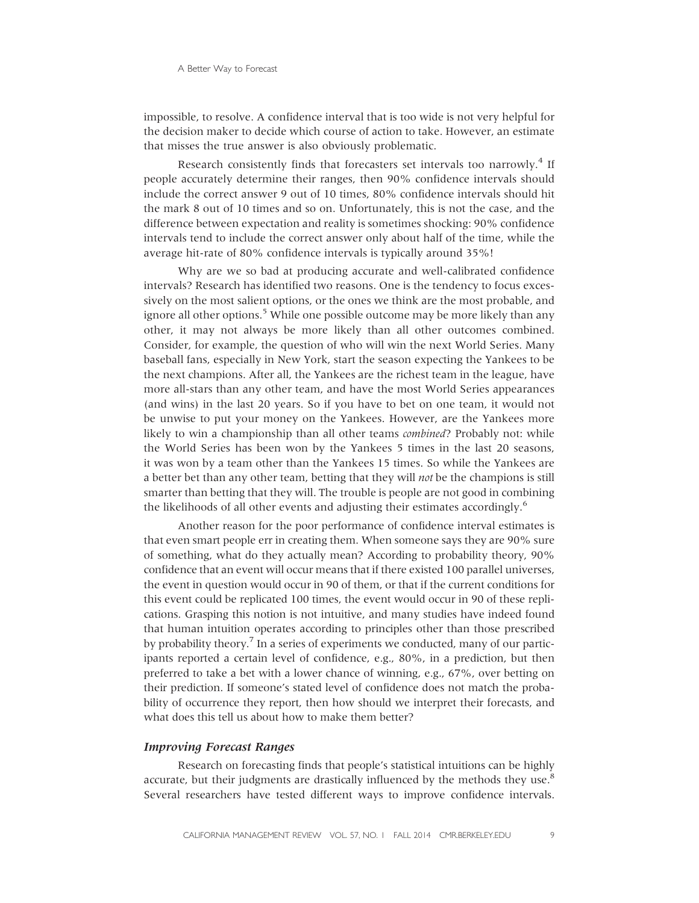impossible, to resolve. A confidence interval that is too wide is not very helpful for the decision maker to decide which course of action to take. However, an estimate that misses the true answer is also obviously problematic.

Research consistently finds that forecasters set intervals too narrowly.<sup>4</sup> If people accurately determine their ranges, then 90% confidence intervals should include the correct answer 9 out of 10 times, 80% confidence intervals should hit the mark 8 out of 10 times and so on. Unfortunately, this is not the case, and the difference between expectation and reality is sometimes shocking: 90% confidence intervals tend to include the correct answer only about half of the time, while the average hit-rate of 80% confidence intervals is typically around 35%!

Why are we so bad at producing accurate and well-calibrated confidence intervals? Research has identified two reasons. One is the tendency to focus excessively on the most salient options, or the ones we think are the most probable, and ignore all other options.<sup>5</sup> While one possible outcome may be more likely than any other, it may not always be more likely than all other outcomes combined. Consider, for example, the question of who will win the next World Series. Many baseball fans, especially in New York, start the season expecting the Yankees to be the next champions. After all, the Yankees are the richest team in the league, have more all-stars than any other team, and have the most World Series appearances (and wins) in the last 20 years. So if you have to bet on one team, it would not be unwise to put your money on the Yankees. However, are the Yankees more likely to win a championship than all other teams combined? Probably not: while the World Series has been won by the Yankees 5 times in the last 20 seasons, it was won by a team other than the Yankees 15 times. So while the Yankees are a better bet than any other team, betting that they will *not* be the champions is still smarter than betting that they will. The trouble is people are not good in combining the likelihoods of all other events and adjusting their estimates accordingly.<sup>6</sup>

Another reason for the poor performance of confidence interval estimates is that even smart people err in creating them. When someone says they are 90% sure of something, what do they actually mean? According to probability theory, 90% confidence that an event will occur means that if there existed 100 parallel universes, the event in question would occur in 90 of them, or that if the current conditions for this event could be replicated 100 times, the event would occur in 90 of these replications. Grasping this notion is not intuitive, and many studies have indeed found that human intuition operates according to principles other than those prescribed by probability theory.<sup>7</sup> In a series of experiments we conducted, many of our participants reported a certain level of confidence, e.g., 80%, in a prediction, but then preferred to take a bet with a lower chance of winning, e.g., 67%, over betting on their prediction. If someone's stated level of confidence does not match the probability of occurrence they report, then how should we interpret their forecasts, and what does this tell us about how to make them better?

#### Improving Forecast Ranges

Research on forecasting finds that people's statistical intuitions can be highly accurate, but their judgments are drastically influenced by the methods they use. $8$ Several researchers have tested different ways to improve confidence intervals.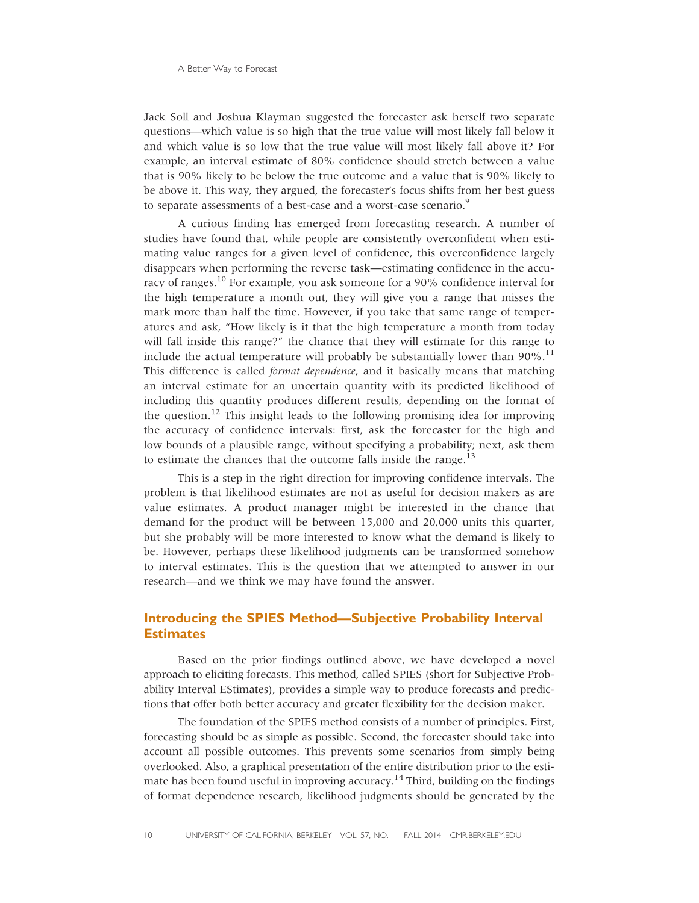Jack Soll and Joshua Klayman suggested the forecaster ask herself two separate questions—which value is so high that the true value will most likely fall below it and which value is so low that the true value will most likely fall above it? For example, an interval estimate of 80% confidence should stretch between a value that is 90% likely to be below the true outcome and a value that is 90% likely to be above it. This way, they argued, the forecaster's focus shifts from her best guess to separate assessments of a best-case and a worst-case scenario.<sup>9</sup>

A curious finding has emerged from forecasting research. A number of studies have found that, while people are consistently overconfident when estimating value ranges for a given level of confidence, this overconfidence largely disappears when performing the reverse task—estimating confidence in the accuracy of ranges.<sup>10</sup> For example, you ask someone for a 90% confidence interval for the high temperature a month out, they will give you a range that misses the mark more than half the time. However, if you take that same range of temperatures and ask, "How likely is it that the high temperature a month from today will fall inside this range?" the chance that they will estimate for this range to include the actual temperature will probably be substantially lower than  $90\%$ .<sup>11</sup> This difference is called *format dependence*, and it basically means that matching an interval estimate for an uncertain quantity with its predicted likelihood of including this quantity produces different results, depending on the format of the question.<sup>12</sup> This insight leads to the following promising idea for improving the accuracy of confidence intervals: first, ask the forecaster for the high and low bounds of a plausible range, without specifying a probability; next, ask them to estimate the chances that the outcome falls inside the range. $^{13}$ 

This is a step in the right direction for improving confidence intervals. The problem is that likelihood estimates are not as useful for decision makers as are value estimates. A product manager might be interested in the chance that demand for the product will be between 15,000 and 20,000 units this quarter, but she probably will be more interested to know what the demand is likely to be. However, perhaps these likelihood judgments can be transformed somehow to interval estimates. This is the question that we attempted to answer in our research—and we think we may have found the answer.

## Introducing the SPIES Method—Subjective Probability Interval **Estimates**

Based on the prior findings outlined above, we have developed a novel approach to eliciting forecasts. This method, called SPIES (short for Subjective Probability Interval EStimates), provides a simple way to produce forecasts and predictions that offer both better accuracy and greater flexibility for the decision maker.

The foundation of the SPIES method consists of a number of principles. First, forecasting should be as simple as possible. Second, the forecaster should take into account all possible outcomes. This prevents some scenarios from simply being overlooked. Also, a graphical presentation of the entire distribution prior to the estimate has been found useful in improving accuracy.<sup>14</sup> Third, building on the findings of format dependence research, likelihood judgments should be generated by the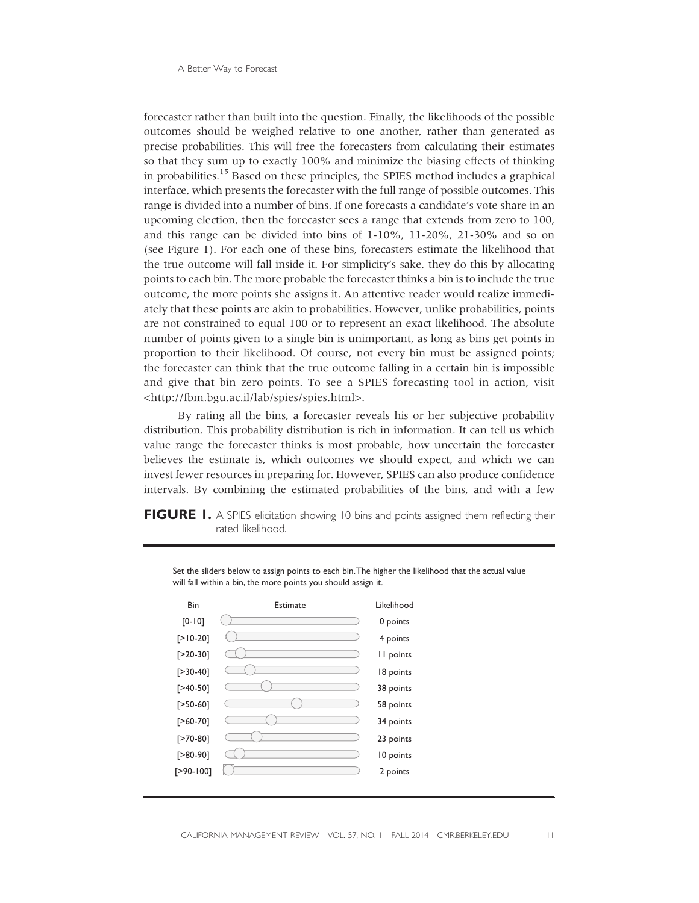forecaster rather than built into the question. Finally, the likelihoods of the possible outcomes should be weighed relative to one another, rather than generated as precise probabilities. This will free the forecasters from calculating their estimates so that they sum up to exactly 100% and minimize the biasing effects of thinking in probabilities.<sup>15</sup> Based on these principles, the SPIES method includes a graphical interface, which presents the forecaster with the full range of possible outcomes. This range is divided into a number of bins. If one forecasts a candidate's vote share in an upcoming election, then the forecaster sees a range that extends from zero to 100, and this range can be divided into bins of 1-10%, 11-20%, 21-30% and so on (see Figure 1). For each one of these bins, forecasters estimate the likelihood that the true outcome will fall inside it. For simplicity's sake, they do this by allocating points to each bin. The more probable the forecaster thinks a bin is to include the true outcome, the more points she assigns it. An attentive reader would realize immediately that these points are akin to probabilities. However, unlike probabilities, points are not constrained to equal 100 or to represent an exact likelihood. The absolute number of points given to a single bin is unimportant, as long as bins get points in proportion to their likelihood. Of course, not every bin must be assigned points; the forecaster can think that the true outcome falling in a certain bin is impossible and give that bin zero points. To see a SPIES forecasting tool in action, visit <http://fbm.bgu.ac.il/lab/spies/spies.html>.

By rating all the bins, a forecaster reveals his or her subjective probability distribution. This probability distribution is rich in information. It can tell us which value range the forecaster thinks is most probable, how uncertain the forecaster believes the estimate is, which outcomes we should expect, and which we can invest fewer resources in preparing for. However, SPIES can also produce confidence intervals. By combining the estimated probabilities of the bins, and with a few



| Set the sliders below to assign points to each bin. The higher the likelihood that the actual value |  |
|-----------------------------------------------------------------------------------------------------|--|
| will fall within a bin, the more points you should assign it.                                       |  |

| Bin         | Estimate | Likelihood |
|-------------|----------|------------|
| $[0 - 10]$  |          | 0 points   |
| $[>10-20]$  |          | 4 points   |
| $[20-30]$   |          | II points  |
| $[>30-40]$  |          | 18 points  |
| $[>40-50]$  |          | 38 points  |
| $[>50-60]$  |          | 58 points  |
| $[ >60-70]$ |          | 34 points  |
| $[>70-80]$  |          | 23 points  |
| $[ >80-90]$ |          | 10 points  |
| $[>90-100]$ |          | 2 points   |
|             |          |            |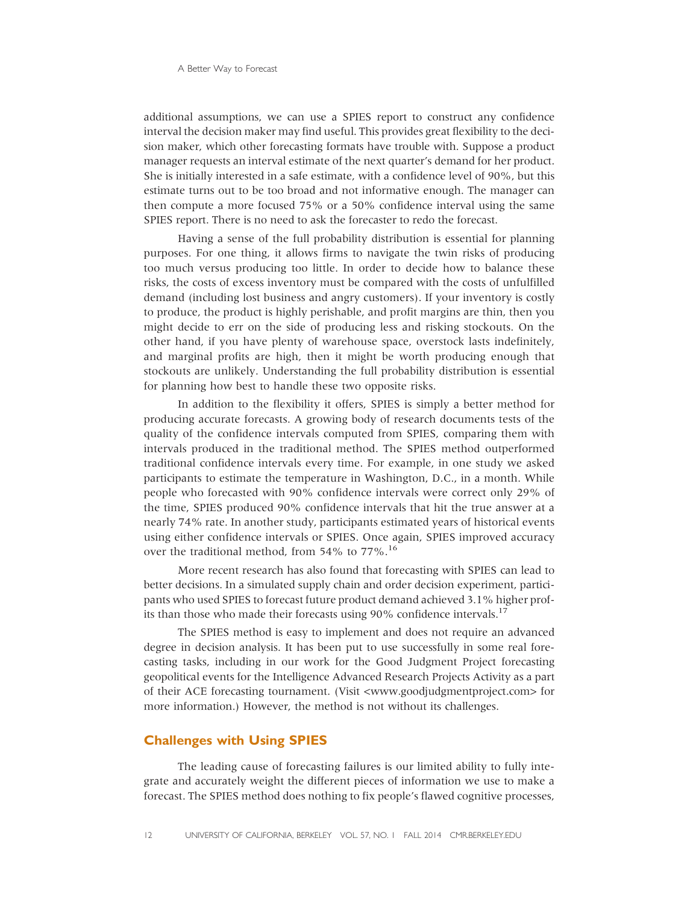additional assumptions, we can use a SPIES report to construct any confidence interval the decision maker may find useful. This provides great flexibility to the decision maker, which other forecasting formats have trouble with. Suppose a product manager requests an interval estimate of the next quarter's demand for her product. She is initially interested in a safe estimate, with a confidence level of 90%, but this estimate turns out to be too broad and not informative enough. The manager can then compute a more focused 75% or a 50% confidence interval using the same SPIES report. There is no need to ask the forecaster to redo the forecast.

Having a sense of the full probability distribution is essential for planning purposes. For one thing, it allows firms to navigate the twin risks of producing too much versus producing too little. In order to decide how to balance these risks, the costs of excess inventory must be compared with the costs of unfulfilled demand (including lost business and angry customers). If your inventory is costly to produce, the product is highly perishable, and profit margins are thin, then you might decide to err on the side of producing less and risking stockouts. On the other hand, if you have plenty of warehouse space, overstock lasts indefinitely, and marginal profits are high, then it might be worth producing enough that stockouts are unlikely. Understanding the full probability distribution is essential for planning how best to handle these two opposite risks.

In addition to the flexibility it offers, SPIES is simply a better method for producing accurate forecasts. A growing body of research documents tests of the quality of the confidence intervals computed from SPIES, comparing them with intervals produced in the traditional method. The SPIES method outperformed traditional confidence intervals every time. For example, in one study we asked participants to estimate the temperature in Washington, D.C., in a month. While people who forecasted with 90% confidence intervals were correct only 29% of the time, SPIES produced 90% confidence intervals that hit the true answer at a nearly 74% rate. In another study, participants estimated years of historical events using either confidence intervals or SPIES. Once again, SPIES improved accuracy over the traditional method, from 54% to 77%.<sup>16</sup>

More recent research has also found that forecasting with SPIES can lead to better decisions. In a simulated supply chain and order decision experiment, participants who used SPIES to forecast future product demand achieved 3.1% higher profits than those who made their forecasts using 90% confidence intervals.<sup>17</sup>

The SPIES method is easy to implement and does not require an advanced degree in decision analysis. It has been put to use successfully in some real forecasting tasks, including in our work for the Good Judgment Project forecasting geopolitical events for the Intelligence Advanced Research Projects Activity as a part of their ACE forecasting tournament. (Visit <www.goodjudgmentproject.com> for more information.) However, the method is not without its challenges.

#### Challenges with Using SPIES

The leading cause of forecasting failures is our limited ability to fully integrate and accurately weight the different pieces of information we use to make a forecast. The SPIES method does nothing to fix people's flawed cognitive processes,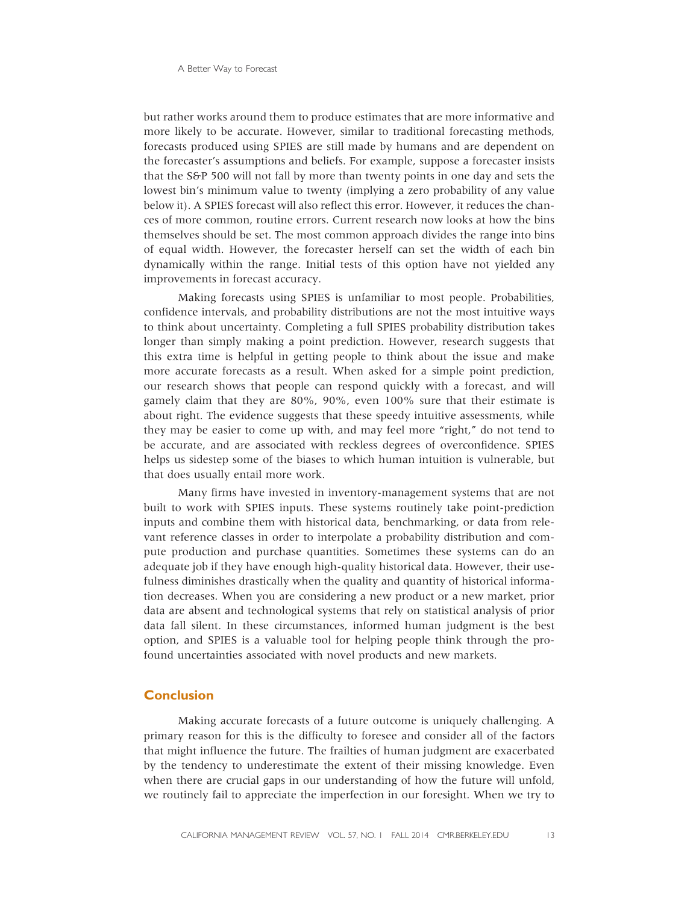but rather works around them to produce estimates that are more informative and more likely to be accurate. However, similar to traditional forecasting methods, forecasts produced using SPIES are still made by humans and are dependent on the forecaster's assumptions and beliefs. For example, suppose a forecaster insists that the S&P 500 will not fall by more than twenty points in one day and sets the lowest bin's minimum value to twenty (implying a zero probability of any value below it). A SPIES forecast will also reflect this error. However, it reduces the chances of more common, routine errors. Current research now looks at how the bins themselves should be set. The most common approach divides the range into bins of equal width. However, the forecaster herself can set the width of each bin dynamically within the range. Initial tests of this option have not yielded any improvements in forecast accuracy.

Making forecasts using SPIES is unfamiliar to most people. Probabilities, confidence intervals, and probability distributions are not the most intuitive ways to think about uncertainty. Completing a full SPIES probability distribution takes longer than simply making a point prediction. However, research suggests that this extra time is helpful in getting people to think about the issue and make more accurate forecasts as a result. When asked for a simple point prediction, our research shows that people can respond quickly with a forecast, and will gamely claim that they are 80%, 90%, even 100% sure that their estimate is about right. The evidence suggests that these speedy intuitive assessments, while they may be easier to come up with, and may feel more "right," do not tend to be accurate, and are associated with reckless degrees of overconfidence. SPIES helps us sidestep some of the biases to which human intuition is vulnerable, but that does usually entail more work.

Many firms have invested in inventory-management systems that are not built to work with SPIES inputs. These systems routinely take point-prediction inputs and combine them with historical data, benchmarking, or data from relevant reference classes in order to interpolate a probability distribution and compute production and purchase quantities. Sometimes these systems can do an adequate job if they have enough high-quality historical data. However, their usefulness diminishes drastically when the quality and quantity of historical information decreases. When you are considering a new product or a new market, prior data are absent and technological systems that rely on statistical analysis of prior data fall silent. In these circumstances, informed human judgment is the best option, and SPIES is a valuable tool for helping people think through the profound uncertainties associated with novel products and new markets.

## **Conclusion**

Making accurate forecasts of a future outcome is uniquely challenging. A primary reason for this is the difficulty to foresee and consider all of the factors that might influence the future. The frailties of human judgment are exacerbated by the tendency to underestimate the extent of their missing knowledge. Even when there are crucial gaps in our understanding of how the future will unfold, we routinely fail to appreciate the imperfection in our foresight. When we try to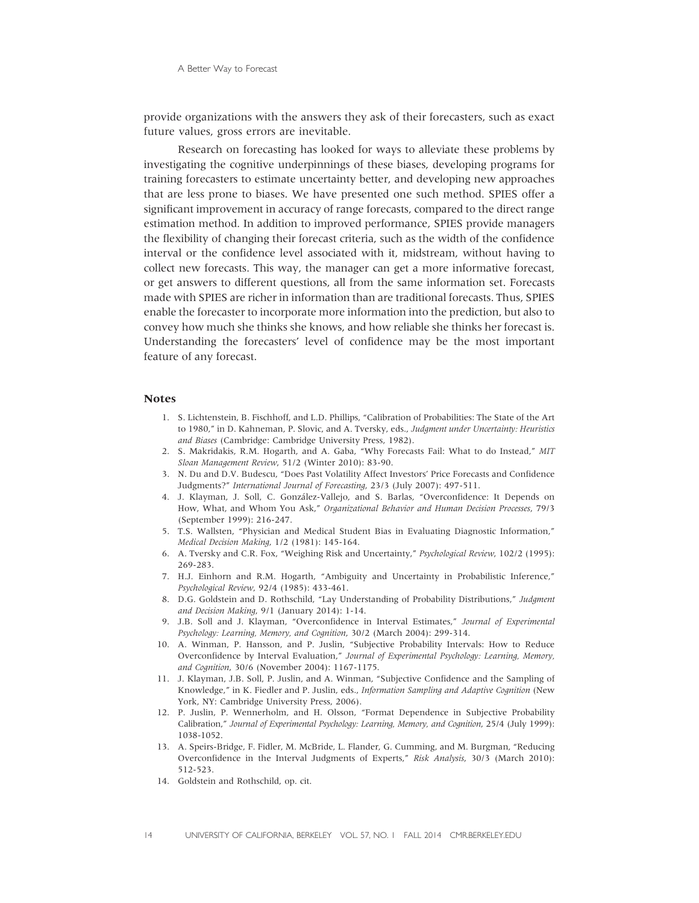provide organizations with the answers they ask of their forecasters, such as exact future values, gross errors are inevitable.

Research on forecasting has looked for ways to alleviate these problems by investigating the cognitive underpinnings of these biases, developing programs for training forecasters to estimate uncertainty better, and developing new approaches that are less prone to biases. We have presented one such method. SPIES offer a significant improvement in accuracy of range forecasts, compared to the direct range estimation method. In addition to improved performance, SPIES provide managers the flexibility of changing their forecast criteria, such as the width of the confidence interval or the confidence level associated with it, midstream, without having to collect new forecasts. This way, the manager can get a more informative forecast, or get answers to different questions, all from the same information set. Forecasts made with SPIES are richer in information than are traditional forecasts. Thus, SPIES enable the forecaster to incorporate more information into the prediction, but also to convey how much she thinks she knows, and how reliable she thinks her forecast is. Understanding the forecasters' level of confidence may be the most important feature of any forecast.

#### **Notes**

- 1. S. Lichtenstein, B. Fischhoff, and L.D. Phillips, "Calibration of Probabilities: The State of the Art to 1980," in D. Kahneman, P. Slovic, and A. Tversky, eds., Judgment under Uncertainty: Heuristics and Biases (Cambridge: Cambridge University Press, 1982).
- 2. S. Makridakis, R.M. Hogarth, and A. Gaba, "Why Forecasts Fail: What to do Instead," MIT Sloan Management Review, 51/2 (Winter 2010): 83-90.
- 3. N. Du and D.V. Budescu, "Does Past Volatility Affect Investors' Price Forecasts and Confidence Judgments?" International Journal of Forecasting, 23/3 (July 2007): 497-511.
- 4. J. Klayman, J. Soll, C. González-Vallejo, and S. Barlas, "Overconfidence: It Depends on How, What, and Whom You Ask," Organizational Behavior and Human Decision Processes, 79/3 (September 1999): 216-247.
- 5. T.S. Wallsten, "Physician and Medical Student Bias in Evaluating Diagnostic Information," Medical Decision Making, 1/2 (1981): 145-164.
- 6. A. Tversky and C.R. Fox, "Weighing Risk and Uncertainty," Psychological Review, 102/2 (1995): 269-283.
- 7. H.J. Einhorn and R.M. Hogarth, "Ambiguity and Uncertainty in Probabilistic Inference," Psychological Review, 92/4 (1985): 433-461.
- 8. D.G. Goldstein and D. Rothschild, "Lay Understanding of Probability Distributions," Judgment and Decision Making, 9/1 (January 2014): 1-14.
- 9. J.B. Soll and J. Klayman, "Overconfidence in Interval Estimates," Journal of Experimental Psychology: Learning, Memory, and Cognition, 30/2 (March 2004): 299-314.
- 10. A. Winman, P. Hansson, and P. Juslin, "Subjective Probability Intervals: How to Reduce Overconfidence by Interval Evaluation," Journal of Experimental Psychology: Learning, Memory, and Cognition, 30/6 (November 2004): 1167-1175.
- 11. J. Klayman, J.B. Soll, P. Juslin, and A. Winman, "Subjective Confidence and the Sampling of Knowledge," in K. Fiedler and P. Juslin, eds., Information Sampling and Adaptive Cognition (New York, NY: Cambridge University Press, 2006).
- 12. P. Juslin, P. Wennerholm, and H. Olsson, "Format Dependence in Subjective Probability Calibration," Journal of Experimental Psychology: Learning, Memory, and Cognition, 25/4 (July 1999): 1038-1052.
- 13. A. Speirs-Bridge, F. Fidler, M. McBride, L. Flander, G. Cumming, and M. Burgman, "Reducing Overconfidence in the Interval Judgments of Experts," Risk Analysis, 30/3 (March 2010): 512-523.
- 14. Goldstein and Rothschild, op. cit.